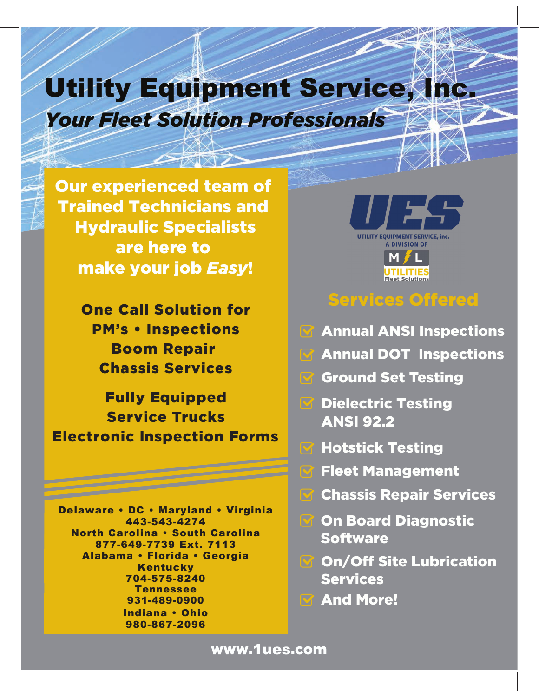# Utility Equipment Service Thc. *Your Fleet Solution Professionals*

Our experienced team of Trained Technicians and Hydraulic Specialists are here to make your job *Easy*!

 $+ \times 1 \times$ 

One Call Solution for PM's • Inspections Boom Repair Chassis Services

Fully Equipped Service Trucks Electronic Inspection Forms

Tennessee 931-489-0900 **And More!** Delaware . DC . Maryland . Virginia 443-543-4274 **North Carolina . South Carolina** 877-649-7739 Ext. 7113 Alabama · Florida · Georgia Kentucky 704-575-8240 Indiana . Ohio 980-867-2096



# Services Offered

- **Mannual ANSI Inspections**
- **Annual DOT Inspections**
- Ground Set Testing
- **S** Dielectric Testing ANSI 92.2
- **M** Hotstick Testing
	- Fleet Management
- Chassis Repair Services  $\nabla$
- **S** On Board Diagnostic Software
- **M** On/Off Site Lubrication Services
- 

## www.1ues.com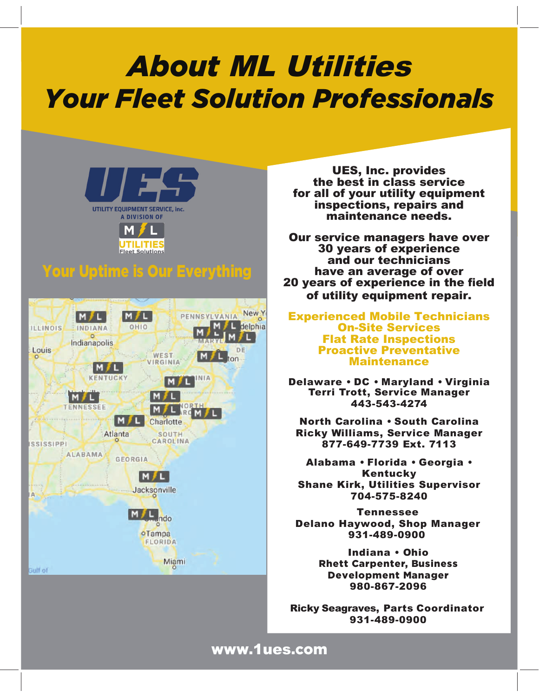# **About ML Utilities** *Your Fleet Solution Professionals*



## Your Uptime is Our Everything



UES, Inc. provides the best in class service for all of your utility equipment inspections, repairs and maintenance needs.

Our service managers have over **30 years of experience** and our technicians have an average of over 20 years of experience in the field of utility equipment repair.

**Experienced Mobile Technicians On-Site Services Flat Rate Inspections Proactive Preventative Maintenance** 

Delaware . DC . Maryland . Virginia Terri Trott, Service Manager 443-543-4274

North Carolina . South Carolina Ricky Williams, Service Manager 877-649-7739 Ext. 7113

Alabama • Florida • Georgia • Kentucky **Shane Kirk, Utilities Supervisor** 704-575-8240

Tennessee Delano Haywood, Shop Manager 931-489-0900

> Indiana . Ohio Rhett Carpenter, Business Development Manager 980-867-2096

Ricky Seagraves, Parts Coordinator 931-489-0900

#### www.1ues.com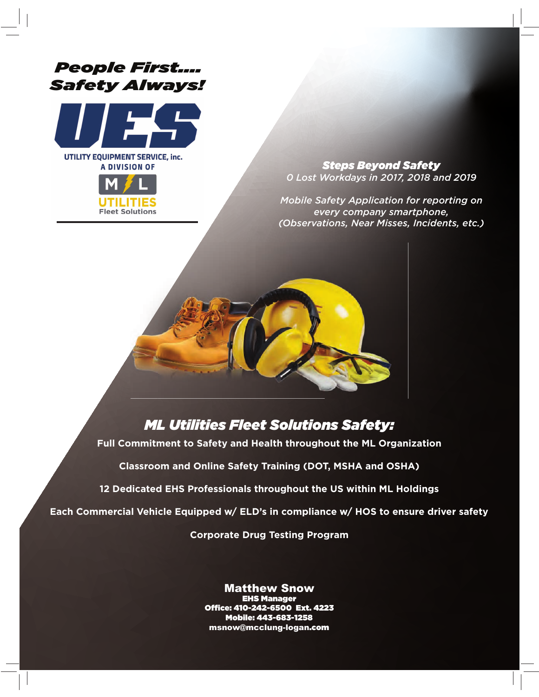## *People First.... Safety Always!*



UTILITY EQUIPMENT SERVICE, inc. **A DIVISION OF** 



*Steps Beyond Safety 0 Lost Workdays in 2017, 2018 and 2019*

*Mobile Safety Application for reporting on every company smartphone, (Observations, Near Misses, Incidents, etc.)*



## *ML Utilities Fleet Solutions Safety:*

**Full Commitment to Safety and Health throughout the ML Organization** 

**Classroom and Online Safety Training (DOT, MSHA and OSHA)**

**12 Dedicated EHS Professionals throughout the US within ML Holdings** 

**Each Commercial Vehicle Equipped w/ ELD's in compliance w/ HOS to ensure driver safety** 

**Corporate Drug Testing Program**

**Matthew Snow<br>EHS Manager** Office: 410-242-6500 Ext. 4223 Mobile: 443-683-1258 msnow@mcclung-logan<mark>.com</mark>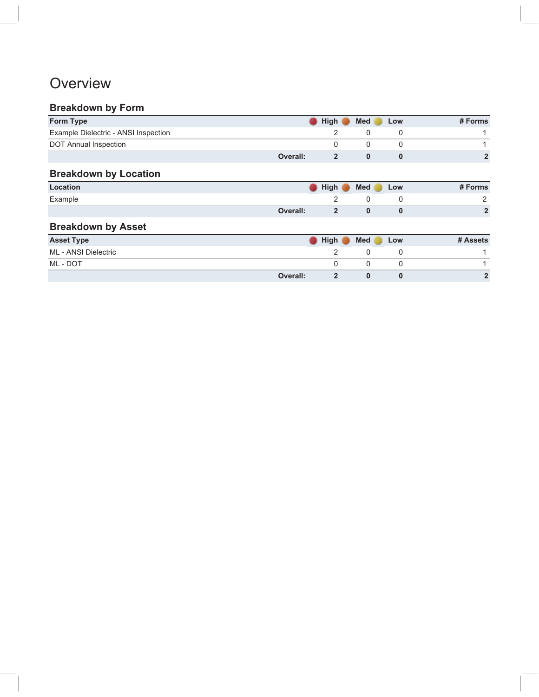## **Overview**

#### **Breakdown by Form**

| Form Type                            | <b>High</b> | <b>Med</b> | Low | # Forms |
|--------------------------------------|-------------|------------|-----|---------|
| Example Dielectric - ANSI Inspection |             |            |     |         |
| DOT Annual Inspection                |             |            |     |         |
|                                      | Overall:    |            |     |         |

## **Breakdown by Location**

| Location | and the state of the control of | <b>High</b><br>and the state of the state of the state | Med | Low | # Forms    |
|----------|---------------------------------|--------------------------------------------------------|-----|-----|------------|
| Example  |                                 |                                                        |     |     |            |
|          | <b>Overall:</b>                 |                                                        |     |     | $\sqrt{2}$ |

## **Breakdown by Asset**

| <b>Asset Type</b>    | High     | Med | Low | # Assets |
|----------------------|----------|-----|-----|----------|
| ML - ANSI Dielectric |          |     |     |          |
| ML - DOT             |          |     |     |          |
|                      | Overall: |     |     | e        |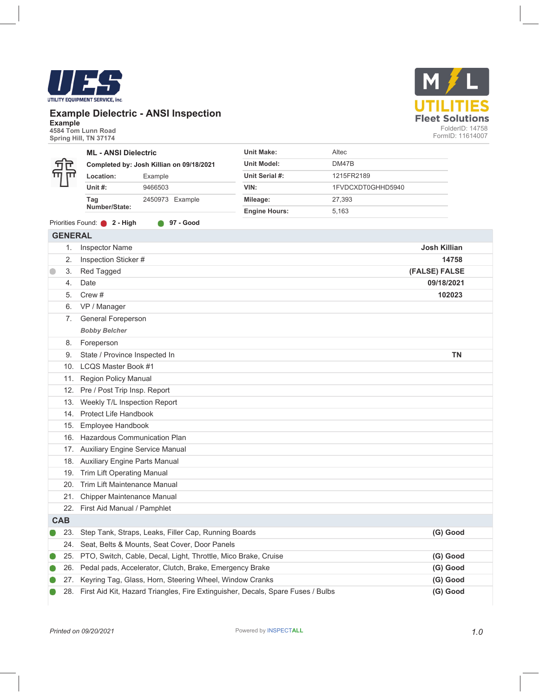#### **Example Dielectric - ANSI Inspection**

**Example 4584 Tom Lunn Road Spring Hill, TN 37174** 

**GENERAL**

|  | <b>ML - ANSI Dielectric</b>              |                 | Unit Make:           | Altec             |
|--|------------------------------------------|-----------------|----------------------|-------------------|
|  | Completed by: Josh Killian on 09/18/2021 |                 | <b>Unit Model:</b>   | DM47B             |
|  | Location:                                | Example         | Unit Serial #:       | 1215FR2189        |
|  | Unit $#$ :                               | 9466503         | VIN:                 | 1FVDCXDT0GHHD5940 |
|  | Tag                                      | 2450973 Example | Mileage:             | 27.393            |
|  | Number/State:                            |                 | <b>Engine Hours:</b> | 5.163             |
|  |                                          |                 |                      |                   |

Priorities Found: **2 - High 97 - Good**

| 1.         | <b>Inspector Name</b>                                                               | <b>Josh Killian</b> |  |
|------------|-------------------------------------------------------------------------------------|---------------------|--|
| 2.         | Inspection Sticker #                                                                | 14758               |  |
| 3.         | Red Tagged                                                                          | (FALSE) FALSE       |  |
| 4.         | Date                                                                                | 09/18/2021          |  |
| 5.         | Crew $#$                                                                            | 102023              |  |
| 6.         | VP / Manager                                                                        |                     |  |
| 7.         | General Foreperson                                                                  |                     |  |
|            | <b>Bobby Belcher</b>                                                                |                     |  |
| 8.         | Foreperson                                                                          |                     |  |
| 9.         | State / Province Inspected In                                                       | <b>TN</b>           |  |
| 10.        | LCQS Master Book #1                                                                 |                     |  |
| 11.        | <b>Region Policy Manual</b>                                                         |                     |  |
| 12.        | Pre / Post Trip Insp. Report                                                        |                     |  |
| 13.        | Weekly T/L Inspection Report                                                        |                     |  |
| 14.        | Protect Life Handbook                                                               |                     |  |
| 15.        | Employee Handbook                                                                   |                     |  |
| 16.        | <b>Hazardous Communication Plan</b>                                                 |                     |  |
|            | 17. Auxiliary Engine Service Manual                                                 |                     |  |
|            | 18. Auxiliary Engine Parts Manual                                                   |                     |  |
| 19.        | <b>Trim Lift Operating Manual</b>                                                   |                     |  |
| 20.        | Trim Lift Maintenance Manual                                                        |                     |  |
|            | 21. Chipper Maintenance Manual                                                      |                     |  |
|            | 22. First Aid Manual / Pamphlet                                                     |                     |  |
| <b>CAB</b> |                                                                                     |                     |  |
| 23.        | Step Tank, Straps, Leaks, Filler Cap, Running Boards                                | (G) Good            |  |
| 24.        | Seat, Belts & Mounts, Seat Cover, Door Panels                                       |                     |  |
|            | 25. PTO, Switch, Cable, Decal, Light, Throttle, Mico Brake, Cruise                  | (G) Good            |  |
| 26.        | Pedal pads, Accelerator, Clutch, Brake, Emergency Brake                             | (G) Good            |  |
| 27.        | Keyring Tag, Glass, Horn, Steering Wheel, Window Cranks                             | (G) Good            |  |
|            | 28. First Aid Kit, Hazard Triangles, Fire Extinguisher, Decals, Spare Fuses / Bulbs | (G) Good            |  |



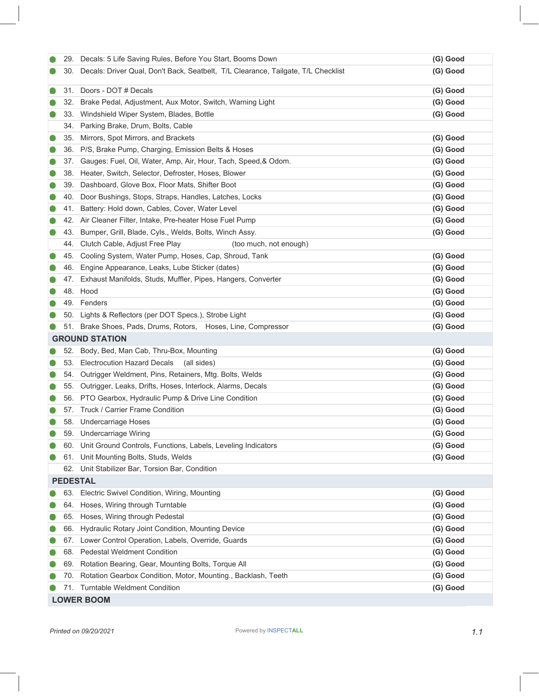|   |     | 29. Decals: 5 Life Saving Rules, Before You Start, Booms Down                     | (G) Good |
|---|-----|-----------------------------------------------------------------------------------|----------|
|   | 30. | Decals: Driver Qual, Don't Back, Seatbelt, T/L Clearance, Tailgate, T/L Checklist | (G) Good |
| O | 31. | Doors - DOT # Decals                                                              | (G) Good |
|   | 32. | Brake Pedal, Adjustment, Aux Motor, Switch, Warning Light                         | (G) Good |
|   | 33. | Windshield Wiper System, Blades, Bottle                                           | (G) Good |
|   | 34. | Parking Brake, Drum, Bolts, Cable                                                 |          |
|   | 35. | Mirrors, Spot Mirrors, and Brackets                                               | (G) Good |
|   | 36. | P/S, Brake Pump, Charging, Emission Belts & Hoses                                 | (G) Good |
|   | 37. | Gauges: Fuel, Oil, Water, Amp, Air, Hour, Tach, Speed, & Odom.                    | (G) Good |
|   | 38. | Heater, Switch, Selector, Defroster, Hoses, Blower                                | (G) Good |
|   | 39. | Dashboard, Glove Box, Floor Mats, Shifter Boot                                    | (G) Good |
|   | 40. | Door Bushings, Stops, Straps, Handles, Latches, Locks                             | (G) Good |
|   | 41. | Battery: Hold down, Cables, Cover, Water Level                                    | (G) Good |
|   |     | 42. Air Cleaner Filter, Intake, Pre-heater Hose Fuel Pump                         | (G) Good |
|   | 43. | Bumper, Grill, Blade, Cyls., Welds, Bolts, Winch Assy.                            | (G) Good |
|   | 44. | Clutch Cable, Adjust Free Play<br>(too much, not enough)                          |          |
|   | 45. | Cooling System, Water Pump, Hoses, Cap, Shroud, Tank                              | (G) Good |
|   |     | 46. Engine Appearance, Leaks, Lube Sticker (dates)                                | (G) Good |
|   | 47. | Exhaust Manifolds, Studs, Muffler, Pipes, Hangers, Converter                      | (G) Good |
|   |     | 48. Hood                                                                          | (G) Good |
|   | 49. | Fenders                                                                           | (G) Good |
|   |     | 50. Lights & Reflectors (per DOT Specs.), Strobe Light                            | (G) Good |
|   |     | 51. Brake Shoes, Pads, Drums, Rotors, Hoses, Line, Compressor                     | (G) Good |
|   |     | <b>GROUND STATION</b>                                                             |          |
|   | 52. | Body, Bed, Man Cab, Thru-Box, Mounting                                            | (G) Good |
|   | 53. | <b>Electrocution Hazard Decals</b><br>(all sides)                                 | (G) Good |
|   | 54. | Outrigger Weldment, Pins, Retainers, Mtg. Bolts, Welds                            | (G) Good |
|   | 55. | Outrigger, Leaks, Drifts, Hoses, Interlock, Alarms, Decals                        | (G) Good |
|   | 56. | PTO Gearbox, Hydraulic Pump & Drive Line Condition                                | (G) Good |
|   | 57. | Truck / Carrier Frame Condition                                                   | (G) Good |
|   |     | 58. Undercarriage Hoses                                                           | (G) Good |
|   |     | 59. Undercarriage Wiring                                                          | (G) Good |
|   |     | 60. Unit Ground Controls, Functions, Labels, Leveling Indicators                  | (G) Good |
|   |     | 61. Unit Mounting Bolts, Studs, Welds                                             | (G) Good |
|   |     | 62. Unit Stabilizer Bar, Torsion Bar, Condition                                   |          |
|   |     | <b>PEDESTAL</b>                                                                   |          |
|   | 63. | Electric Swivel Condition, Wiring, Mounting                                       | (G) Good |
|   |     | 64. Hoses, Wiring through Turntable                                               | (G) Good |
|   |     | 65. Hoses, Wiring through Pedestal                                                | (G) Good |
|   | 66. | Hydraulic Rotary Joint Condition, Mounting Device                                 | (G) Good |
|   |     | 67. Lower Control Operation, Labels, Override, Guards                             | (G) Good |
|   | 68. | <b>Pedestal Weldment Condition</b>                                                | (G) Good |
|   | 69. | Rotation Bearing, Gear, Mounting Bolts, Torque All                                | (G) Good |
|   | 70. | Rotation Gearbox Condition, Motor, Mounting., Backlash, Teeth                     | (G) Good |
|   |     | 71. Turntable Weldment Condition                                                  | (G) Good |
|   |     | <b>LOWER BOOM</b>                                                                 |          |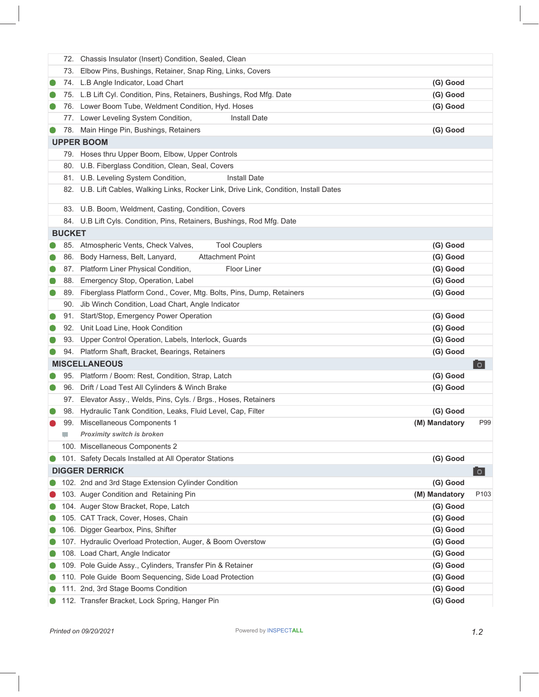|               | 72. Chassis Insulator (Insert) Condition, Sealed, Clean                                |               |                  |
|---------------|----------------------------------------------------------------------------------------|---------------|------------------|
| 73.           | Elbow Pins, Bushings, Retainer, Snap Ring, Links, Covers                               |               |                  |
|               | 74. L.B Angle Indicator, Load Chart                                                    | (G) Good      |                  |
|               | 75. L.B Lift Cyl. Condition, Pins, Retainers, Bushings, Rod Mfg. Date                  | (G) Good      |                  |
|               | 76. Lower Boom Tube, Weldment Condition, Hyd. Hoses                                    | (G) Good      |                  |
|               | 77. Lower Leveling System Condition,<br><b>Install Date</b>                            |               |                  |
|               | 78. Main Hinge Pin, Bushings, Retainers                                                | (G) Good      |                  |
|               | <b>UPPER BOOM</b>                                                                      |               |                  |
|               | 79. Hoses thru Upper Boom, Elbow, Upper Controls                                       |               |                  |
|               | 80. U.B. Fiberglass Condition, Clean, Seal, Covers                                     |               |                  |
|               | 81. U.B. Leveling System Condition,<br><b>Install Date</b>                             |               |                  |
|               | 82. U.B. Lift Cables, Walking Links, Rocker Link, Drive Link, Condition, Install Dates |               |                  |
|               | 83. U.B. Boom, Weldment, Casting, Condition, Covers                                    |               |                  |
|               | 84. U.B Lift Cyls. Condition, Pins, Retainers, Bushings, Rod Mfg. Date                 |               |                  |
| <b>BUCKET</b> |                                                                                        |               |                  |
|               | 85. Atmospheric Vents, Check Valves,<br><b>Tool Couplers</b>                           | (G) Good      |                  |
|               | 86. Body Harness, Belt, Lanyard,<br><b>Attachment Point</b>                            | (G) Good      |                  |
|               | 87. Platform Liner Physical Condition,<br><b>Floor Liner</b>                           | (G) Good      |                  |
| 88.           | Emergency Stop, Operation, Label                                                       | (G) Good      |                  |
|               | 89. Fiberglass Platform Cond., Cover, Mtg. Bolts, Pins, Dump, Retainers                | (G) Good      |                  |
|               | 90. Jib Winch Condition, Load Chart, Angle Indicator                                   |               |                  |
|               | 91. Start/Stop, Emergency Power Operation                                              | (G) Good      |                  |
|               | 92. Unit Load Line, Hook Condition                                                     | (G) Good      |                  |
| 93.           | Upper Control Operation, Labels, Interlock, Guards                                     | (G) Good      |                  |
|               | 94. Platform Shaft, Bracket, Bearings, Retainers                                       | (G) Good      |                  |
|               | <b>MISCELLANEOUS</b>                                                                   |               | $\circ$          |
|               | 95. Platform / Boom: Rest, Condition, Strap, Latch                                     | (G) Good      |                  |
| 96.           | Drift / Load Test All Cylinders & Winch Brake                                          | (G) Good      |                  |
|               | 97. Elevator Assy., Welds, Pins, Cyls. / Brgs., Hoses, Retainers                       |               |                  |
|               | 98. Hydraulic Tank Condition, Leaks, Fluid Level, Cap, Filter                          | (G) Good      |                  |
|               | 99. Miscellaneous Components 1                                                         | (M) Mandatory | P99              |
| Ψ             | Proximity switch is broken                                                             |               |                  |
|               | 100. Miscellaneous Components 2                                                        |               |                  |
|               | 101. Safety Decals Installed at All Operator Stations                                  | (G) Good      |                  |
|               | <b>DIGGER DERRICK</b>                                                                  |               | $\circ$          |
|               | 102. 2nd and 3rd Stage Extension Cylinder Condition                                    | (G) Good      |                  |
|               | 103. Auger Condition and Retaining Pin                                                 | (M) Mandatory | P <sub>103</sub> |
|               | 104. Auger Stow Bracket, Rope, Latch                                                   | (G) Good      |                  |
|               | 105. CAT Track, Cover, Hoses, Chain                                                    | (G) Good      |                  |
|               | 106. Digger Gearbox, Pins, Shifter                                                     | (G) Good      |                  |
|               | 107. Hydraulic Overload Protection, Auger, & Boom Overstow                             | (G) Good      |                  |
|               | 108. Load Chart, Angle Indicator                                                       | (G) Good      |                  |
|               | 109. Pole Guide Assy., Cylinders, Transfer Pin & Retainer                              | (G) Good      |                  |
|               | 110. Pole Guide Boom Sequencing, Side Load Protection                                  | (G) Good      |                  |
|               | 111. 2nd, 3rd Stage Booms Condition                                                    | (G) Good      |                  |
|               | 112. Transfer Bracket, Lock Spring, Hanger Pin                                         | (G) Good      |                  |
|               |                                                                                        |               |                  |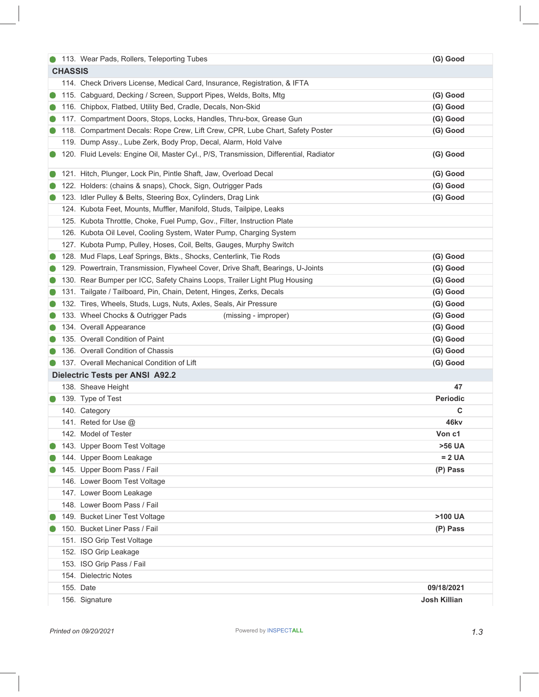|  | 113. Wear Pads, Rollers, Teleporting Tubes                                            | (G) Good             |  |  |  |  |
|--|---------------------------------------------------------------------------------------|----------------------|--|--|--|--|
|  | <b>CHASSIS</b>                                                                        |                      |  |  |  |  |
|  | 114. Check Drivers License, Medical Card, Insurance, Registration, & IFTA             |                      |  |  |  |  |
|  | 115. Cabguard, Decking / Screen, Support Pipes, Welds, Bolts, Mtg                     | (G) Good             |  |  |  |  |
|  | 116. Chipbox, Flatbed, Utility Bed, Cradle, Decals, Non-Skid                          | (G) Good             |  |  |  |  |
|  | 117. Compartment Doors, Stops, Locks, Handles, Thru-box, Grease Gun                   | (G) Good             |  |  |  |  |
|  | 118. Compartment Decals: Rope Crew, Lift Crew, CPR, Lube Chart, Safety Poster         | (G) Good             |  |  |  |  |
|  | 119. Dump Assy., Lube Zerk, Body Prop, Decal, Alarm, Hold Valve                       |                      |  |  |  |  |
|  | 120. Fluid Levels: Engine Oil, Master Cyl., P/S, Transmission, Differential, Radiator | (G) Good             |  |  |  |  |
|  | 121. Hitch, Plunger, Lock Pin, Pintle Shaft, Jaw, Overload Decal                      | (G) Good             |  |  |  |  |
|  | 122. Holders: (chains & snaps), Chock, Sign, Outrigger Pads                           | (G) Good             |  |  |  |  |
|  | 123. Idler Pulley & Belts, Steering Box, Cylinders, Drag Link                         | (G) Good             |  |  |  |  |
|  | 124. Kubota Feet, Mounts, Muffler, Manifold, Studs, Tailpipe, Leaks                   |                      |  |  |  |  |
|  | 125. Kubota Throttle, Choke, Fuel Pump, Gov., Filter, Instruction Plate               |                      |  |  |  |  |
|  | 126. Kubota Oil Level, Cooling System, Water Pump, Charging System                    |                      |  |  |  |  |
|  | 127. Kubota Pump, Pulley, Hoses, Coil, Belts, Gauges, Murphy Switch                   |                      |  |  |  |  |
|  | 128. Mud Flaps, Leaf Springs, Bkts., Shocks, Centerlink, Tie Rods                     | (G) Good             |  |  |  |  |
|  | 129. Powertrain, Transmission, Flywheel Cover, Drive Shaft, Bearings, U-Joints        | (G) Good             |  |  |  |  |
|  | 130. Rear Bumper per ICC, Safety Chains Loops, Trailer Light Plug Housing             | (G) Good             |  |  |  |  |
|  | 131. Tailgate / Tailboard, Pin, Chain, Detent, Hinges, Zerks, Decals                  | (G) Good             |  |  |  |  |
|  | 132. Tires, Wheels, Studs, Lugs, Nuts, Axles, Seals, Air Pressure                     | (G) Good             |  |  |  |  |
|  | 133. Wheel Chocks & Outrigger Pads<br>(missing - improper)                            | (G) Good             |  |  |  |  |
|  | 134. Overall Appearance                                                               | (G) Good             |  |  |  |  |
|  | 135. Overall Condition of Paint                                                       | (G) Good             |  |  |  |  |
|  | 136. Overall Condition of Chassis                                                     | (G) Good             |  |  |  |  |
|  | 137. Overall Mechanical Condition of Lift                                             | (G) Good             |  |  |  |  |
|  | <b>Dielectric Tests per ANSI A92.2</b>                                                |                      |  |  |  |  |
|  | 138. Sheave Height                                                                    | 47                   |  |  |  |  |
|  | 139. Type of Test                                                                     | <b>Periodic</b>      |  |  |  |  |
|  | 140. Category                                                                         | C                    |  |  |  |  |
|  | 141. Reted for Use @                                                                  | 46kv                 |  |  |  |  |
|  | 142. Model of Tester                                                                  | Von c1               |  |  |  |  |
|  | 143. Upper Boom Test Voltage                                                          | >56 UA               |  |  |  |  |
|  | 144. Upper Boom Leakage                                                               | $= 2 \, \textsf{UA}$ |  |  |  |  |
|  | 145. Upper Boom Pass / Fail                                                           | (P) Pass             |  |  |  |  |
|  | 146. Lower Boom Test Voltage                                                          |                      |  |  |  |  |
|  | 147. Lower Boom Leakage                                                               |                      |  |  |  |  |
|  | 148. Lower Boom Pass / Fail                                                           |                      |  |  |  |  |
|  | 149. Bucket Liner Test Voltage                                                        | >100 UA              |  |  |  |  |
|  | 150. Bucket Liner Pass / Fail                                                         | (P) Pass             |  |  |  |  |
|  | 151. ISO Grip Test Voltage                                                            |                      |  |  |  |  |
|  | 152. ISO Grip Leakage                                                                 |                      |  |  |  |  |
|  | 153. ISO Grip Pass / Fail                                                             |                      |  |  |  |  |
|  | 154. Dielectric Notes                                                                 |                      |  |  |  |  |
|  | 155. Date                                                                             | 09/18/2021           |  |  |  |  |
|  | 156. Signature                                                                        | <b>Josh Killian</b>  |  |  |  |  |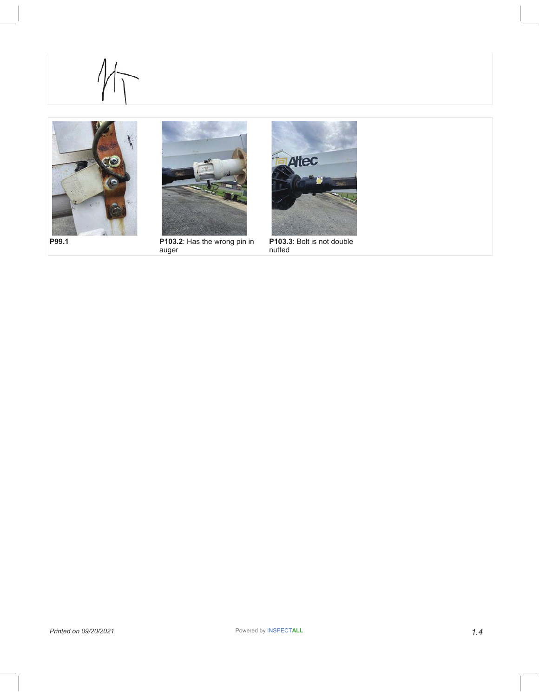





**P99.1 P103.2**: Has the wrong pin in auger



**P103.3**: Bolt is not double nutted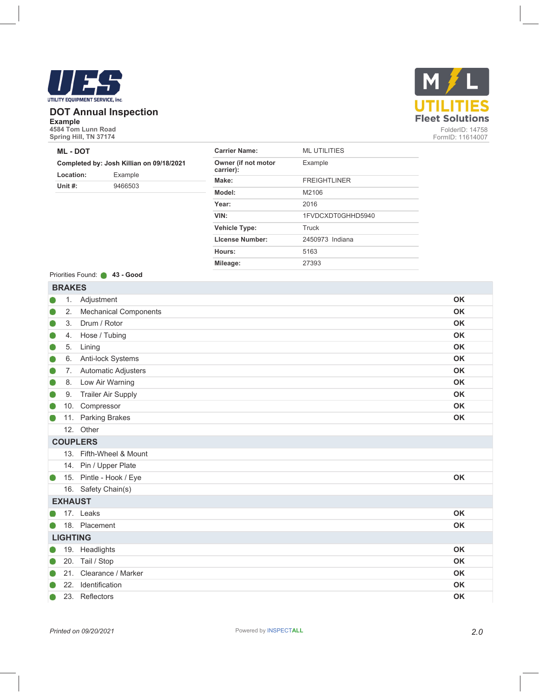

#### **DOT Annual Inspection**

**Example 4584 Tom Lunn Road Spring Hill, TN 37174** 

#### **ML - DOT**

#### **Completed by: Josh Killian on 09/18/2021**

| Location:  | Example |
|------------|---------|
| Unit $#$ : | 9466503 |

| <b>Carrier Name:</b>             | MI UTILITIES        |
|----------------------------------|---------------------|
| Owner (if not motor<br>carrier): | Example             |
| Make:                            | <b>FREIGHTLINER</b> |
| Model:                           | M2106               |
| Year:                            | 2016                |
| VIN:                             | 1FVDCXDT0GHHD5940   |
| <b>Vehicle Type:</b>             | Truck               |
| <b>License Number:</b>           | 2450973 Indiana     |
| Hours:                           | 5163                |
| Mileage:                         | 27393               |
|                                  |                     |

#### Priorities Found: **43 - Good**

|   | <b>BRAKES</b>   |                              |           |  |  |  |
|---|-----------------|------------------------------|-----------|--|--|--|
|   | 1.              | Adjustment                   | <b>OK</b> |  |  |  |
|   | 2.              | <b>Mechanical Components</b> | <b>OK</b> |  |  |  |
|   | 3.              | Drum / Rotor                 | <b>OK</b> |  |  |  |
|   | 4.              | Hose / Tubing                | <b>OK</b> |  |  |  |
|   | 5.              | Lining                       | OK        |  |  |  |
|   | 6.              | Anti-lock Systems            | <b>OK</b> |  |  |  |
| O | 7 <sub>1</sub>  | Automatic Adjusters          | <b>OK</b> |  |  |  |
|   | 8.              | Low Air Warning              | OK        |  |  |  |
|   | 9.              | <b>Trailer Air Supply</b>    | <b>OK</b> |  |  |  |
|   | 10.             | Compressor                   | <b>OK</b> |  |  |  |
|   | 11.             | <b>Parking Brakes</b>        | <b>OK</b> |  |  |  |
|   |                 | 12. Other                    |           |  |  |  |
|   |                 | <b>COUPLERS</b>              |           |  |  |  |
|   |                 | 13. Fifth-Wheel & Mount      |           |  |  |  |
|   |                 | 14. Pin / Upper Plate        |           |  |  |  |
|   | 15.             | Pintle - Hook / Eye          | <b>OK</b> |  |  |  |
|   |                 | 16. Safety Chain(s)          |           |  |  |  |
|   | <b>EXHAUST</b>  |                              |           |  |  |  |
|   |                 | 17. Leaks                    | <b>OK</b> |  |  |  |
|   |                 | 18. Placement                | OK        |  |  |  |
|   | <b>LIGHTING</b> |                              |           |  |  |  |
|   |                 | 19. Headlights               | <b>OK</b> |  |  |  |
|   | 20.             | Tail / Stop                  | <b>OK</b> |  |  |  |
|   | 21.             | Clearance / Marker           | <b>OK</b> |  |  |  |
|   | 22.             | Identification               | <b>OK</b> |  |  |  |
|   |                 | 23. Reflectors               | <b>OK</b> |  |  |  |

FormID: 11614007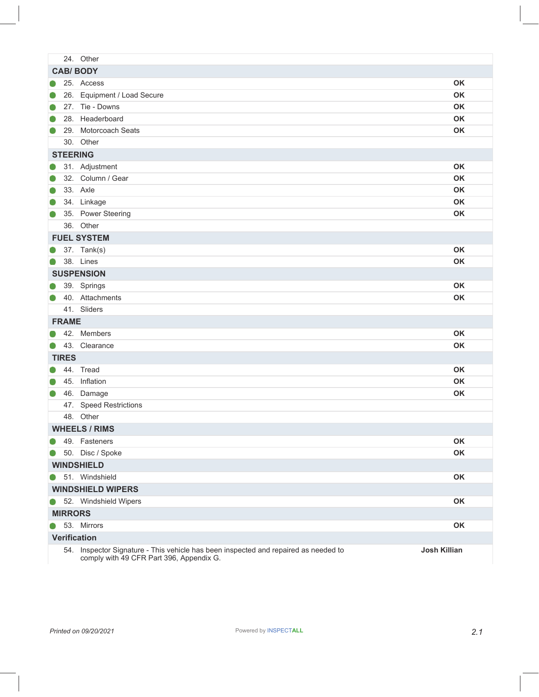|           |                | 24. Other                                                                                                                       |              |
|-----------|----------------|---------------------------------------------------------------------------------------------------------------------------------|--------------|
|           |                | <b>CAB/BODY</b>                                                                                                                 |              |
|           |                | 25. Access                                                                                                                      | <b>OK</b>    |
|           |                | 26. Equipment / Load Secure                                                                                                     | <b>OK</b>    |
|           |                | 27. Tie - Downs                                                                                                                 | <b>OK</b>    |
|           |                | 28. Headerboard                                                                                                                 | <b>OK</b>    |
|           |                | 29. Motorcoach Seats                                                                                                            | <b>OK</b>    |
|           |                | 30. Other                                                                                                                       |              |
|           |                | <b>STEERING</b>                                                                                                                 |              |
| O         |                | 31. Adjustment                                                                                                                  | <b>OK</b>    |
| $\bullet$ |                | 32. Column / Gear                                                                                                               | <b>OK</b>    |
|           |                | 33. Axle                                                                                                                        | OK           |
|           |                | 34. Linkage                                                                                                                     | OK           |
|           |                | 35. Power Steering                                                                                                              | <b>OK</b>    |
|           |                | 36. Other                                                                                                                       |              |
|           |                | <b>FUEL SYSTEM</b>                                                                                                              |              |
|           |                | 37. Tank(s)                                                                                                                     | <b>OK</b>    |
| $\bullet$ |                | 38. Lines                                                                                                                       | <b>OK</b>    |
|           |                | <b>SUSPENSION</b>                                                                                                               |              |
|           |                | 39. Springs                                                                                                                     | <b>OK</b>    |
|           |                | 40. Attachments                                                                                                                 | OK           |
|           |                | 41. Sliders                                                                                                                     |              |
|           | <b>FRAME</b>   |                                                                                                                                 |              |
|           |                | 42. Members                                                                                                                     | <b>OK</b>    |
|           |                | 43. Clearance                                                                                                                   | OK           |
|           | <b>TIRES</b>   |                                                                                                                                 |              |
|           |                | 44. Tread                                                                                                                       | <b>OK</b>    |
|           |                | 45. Inflation                                                                                                                   | <b>OK</b>    |
| $\bullet$ |                | 46. Damage                                                                                                                      | <b>OK</b>    |
|           |                | 47. Speed Restrictions                                                                                                          |              |
|           |                | 48. Other                                                                                                                       |              |
|           |                | <b>WHEELS / RIMS</b>                                                                                                            |              |
|           |                | 49. Fasteners                                                                                                                   | <b>OK</b>    |
|           |                | 50. Disc / Spoke                                                                                                                | OK           |
|           |                | <b>WINDSHIELD</b>                                                                                                               |              |
|           |                | 51. Windshield                                                                                                                  | OK           |
|           |                | <b>WINDSHIELD WIPERS</b>                                                                                                        |              |
|           |                | 52. Windshield Wipers                                                                                                           | <b>OK</b>    |
|           | <b>MIRRORS</b> |                                                                                                                                 |              |
|           |                | 53. Mirrors                                                                                                                     | OK           |
|           |                | <b>Verification</b>                                                                                                             |              |
|           |                | 54. Inspector Signature - This vehicle has been inspected and repaired as needed to<br>comply with 49 CFR Part 396, Appendix G. | Josh Killian |